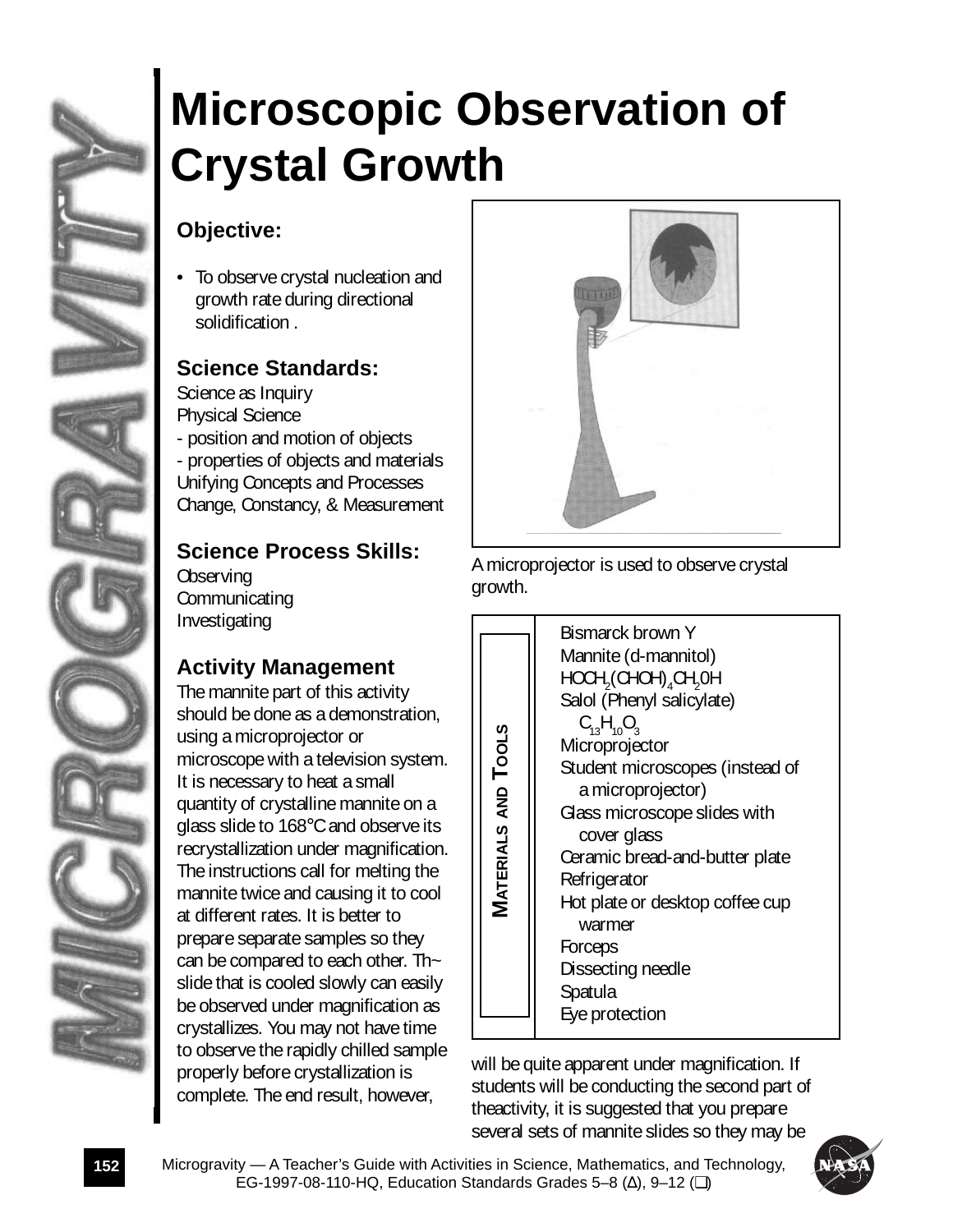

# **Microscopic Observation of Crystal Growth**

### **Objective:**

To observe crystal nucleation and growth rate during directional solidification .

### **Science Standards:**

Science as Inquiry Physical Science - position and motion of objects - properties of objects and materials Unifying Concepts and Processes Change, Constancy, & Measurement

### **Science Process Skills:**

**Observing Communicating** Investigating

### **Activity Management**

The mannite part of this activity should be done as a demonstration, using a microprojector or microscope with a television system. It is necessary to heat a small quantity of crystalline mannite on a glass slide to 168°C and observe its recrystallization under magnification. The instructions call for melting the mannite twice and causing it to cool at different rates. It is better to prepare separate samples so they can be compared to each other. Th~ slide that is cooled slowly can easily be observed under magnification as crystallizes. You may not have time to observe the rapidly chilled sample properly before crystallization is complete. The end result, however,



A microprojector is used to observe crystal growth.

will be quite apparent under magnification. If students will be conducting the second part of theactivity, it is suggested that you prepare several sets of mannite slides so they may be

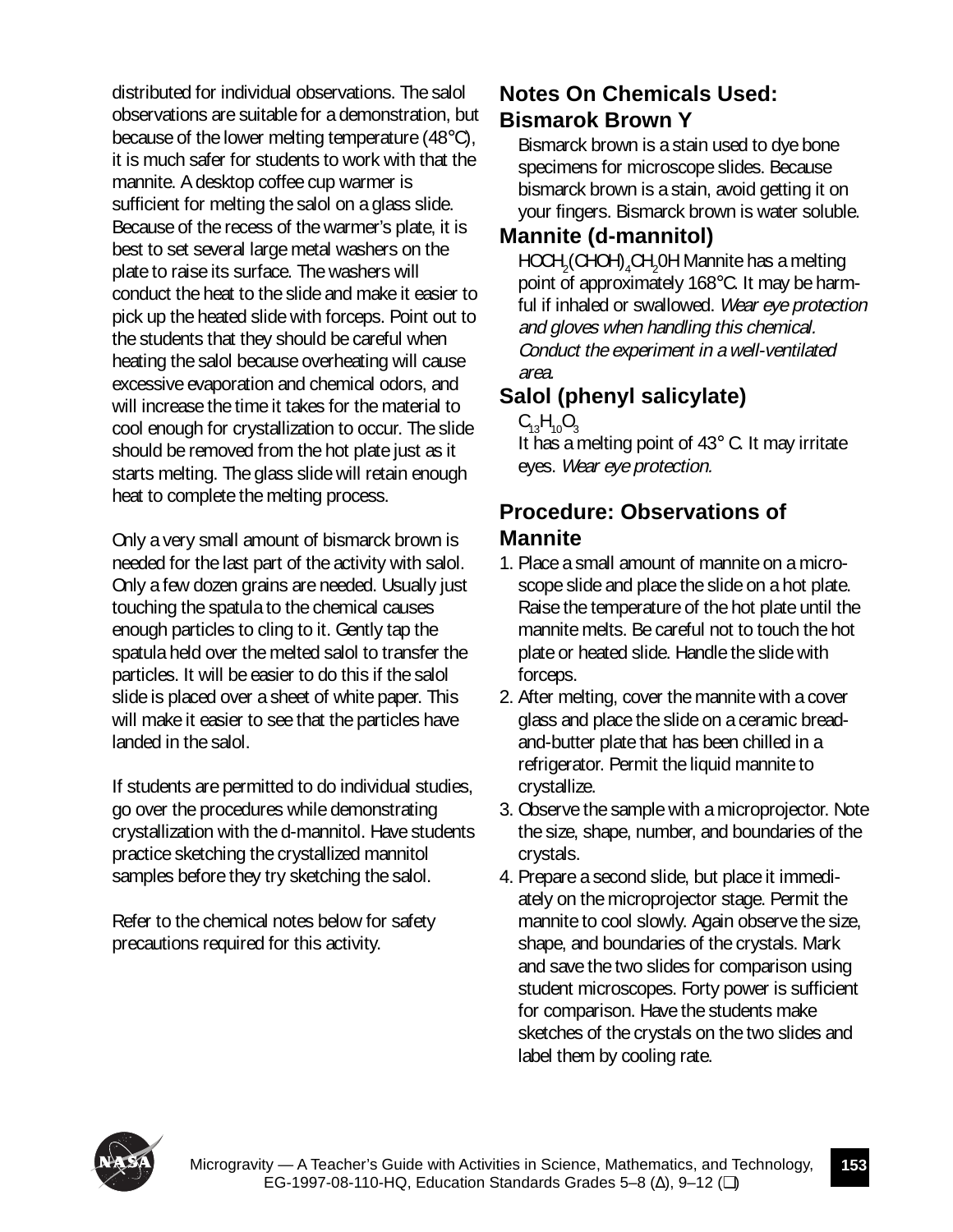distributed for individual observations. The salol observations are suitable for a demonstration, but because of the lower melting temperature (48°C), it is much safer for students to work with that the mannite. A desktop coffee cup warmer is sufficient for melting the salol on a glass slide. Because of the recess of the warmer's plate, it is best to set several large metal washers on the plate to raise its surface. The washers will conduct the heat to the slide and make it easier to pick up the heated slide with forceps. Point out to the students that they should be careful when heating the salol because overheating will cause excessive evaporation and chemical odors, and will increase the time it takes for the material to cool enough for crystallization to occur. The slide should be removed from the hot plate just as it starts melting. The glass slide will retain enough heat to complete the melting process.

Only a very small amount of bismarck brown is needed for the last part of the activity with salol. Only a few dozen grains are needed. Usually just touching the spatula to the chemical causes enough particles to cling to it. Gently tap the spatula held over the melted salol to transfer the particles. It will be easier to do this if the salol slide is placed over a sheet of white paper. This will make it easier to see that the particles have landed in the salol.

If students are permitted to do individual studies, go over the procedures while demonstrating crystallization with the d-mannitol. Have students practice sketching the crystallized mannitol samples before they try sketching the salol.

Refer to the chemical notes below for safety precautions required for this activity.

#### **Notes On Chemicals Used: Bismarok Brown Y**

Bismarck brown is a stain used to dye bone specimens for microscope slides. Because bismarck brown is a stain, avoid getting it on your fingers. Bismarck brown is water soluble.

### **Mannite (d-mannitol)**

 $\mathsf{HOCH}_2(\mathsf{CHOH})_4\mathsf{CH}_2\mathsf{OH}$  Mannite has a melting point of approximately 168°C. It may be harmful if inhaled or swallowed. Wear eye protection and gloves when handling this chemical. Conduct the experiment in a well-ventilated area.

### **Salol (phenyl salicylate)**

 $C_{13}H_{10}O_3$ 

It has a melting point of 43° C. It may irritate eyes. Wear eye protection.

#### **Procedure: Observations of Mannite**

- 1. Place a small amount of mannite on a microscope slide and place the slide on a hot plate. Raise the temperature of the hot plate until the mannite melts. Be careful not to touch the hot plate or heated slide. Handle the slide with forceps.
- 2. After melting, cover the mannite with a cover glass and place the slide on a ceramic breadand-butter plate that has been chilled in a refrigerator. Permit the liquid mannite to crystallize.
- 3. Observe the sample with a microprojector. Note the size, shape, number, and boundaries of the crystals.
- 4. Prepare a second slide, but place it immediately on the microprojector stage. Permit the mannite to cool slowly. Again observe the size, shape, and boundaries of the crystals. Mark and save the two slides for comparison using student microscopes. Forty power is sufficient for comparison. Have the students make sketches of the crystals on the two slides and label them by cooling rate.

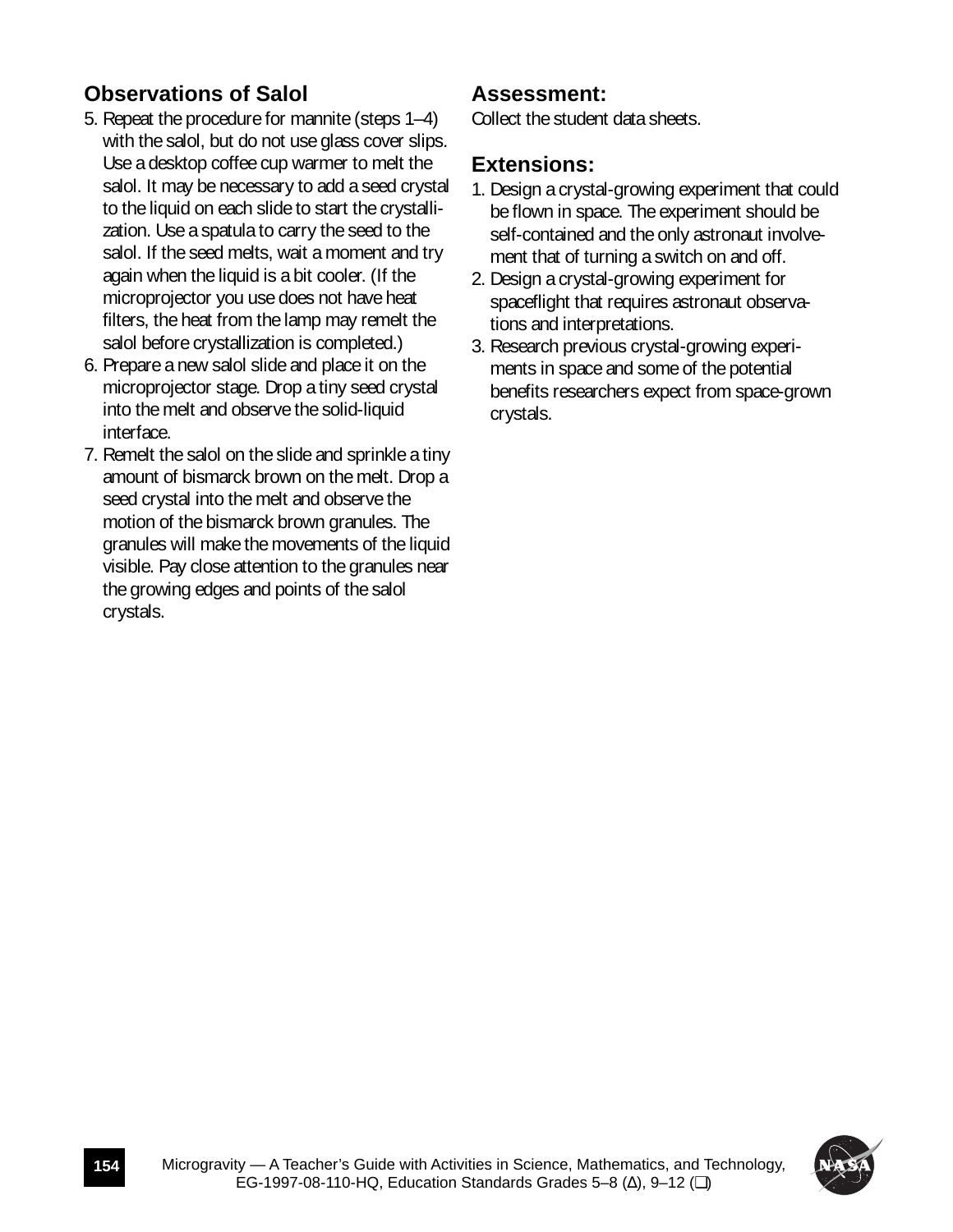#### **Observations of Salol**

- 5. Repeat the procedure for mannite (steps 1–4) with the salol, but do not use glass cover slips. Use a desktop coffee cup warmer to melt the salol. It may be necessary to add a seed crystal to the liquid on each slide to start the crystallization. Use a spatula to carry the seed to the salol. If the seed melts, wait a moment and try again when the liquid is a bit cooler. (If the microprojector you use does not have heat filters, the heat from the lamp may remelt the salol before crystallization is completed.)
- 6. Prepare a new salol slide and place it on the microprojector stage. Drop a tiny seed crystal into the melt and observe the solid-liquid interface.
- 7. Remelt the salol on the slide and sprinkle a tiny amount of bismarck brown on the melt. Drop a seed crystal into the melt and observe the motion of the bismarck brown granules. The granules will make the movements of the liquid visible. Pay close attention to the granules near the growing edges and points of the salol crystals.

#### **Assessment:**

Collect the student data sheets.

#### **Extensions:**

- 1. Design a crystal-growing experiment that could be flown in space. The experiment should be self-contained and the only astronaut involvement that of turning a switch on and off.
- 2. Design a crystal-growing experiment for spaceflight that requires astronaut observations and interpretations.
- 3. Research previous crystal-growing experiments in space and some of the potential benefits researchers expect from space-grown crystals.

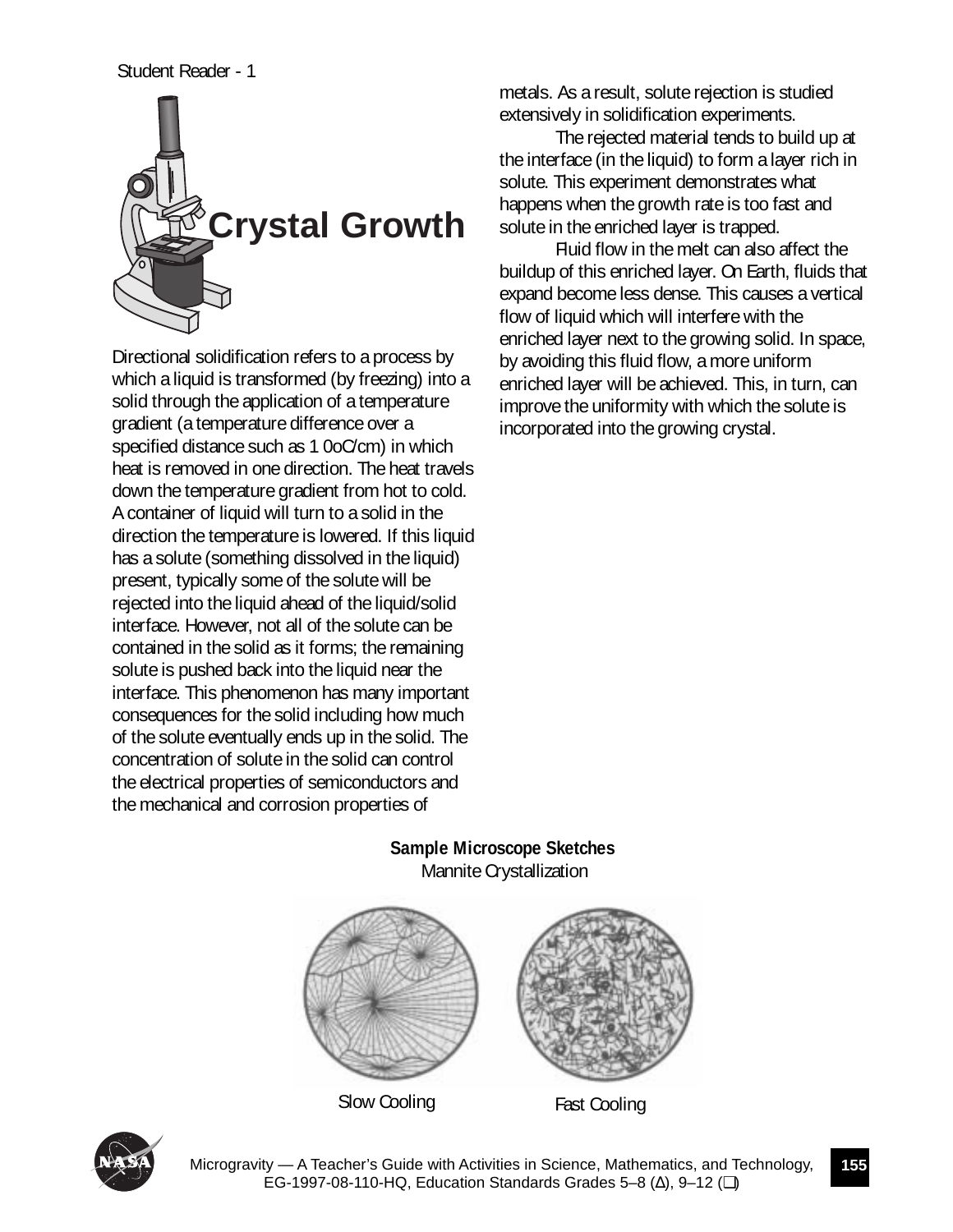#### Student Reader - 1



Directional solidification refers to a process by which a liquid is transformed (by freezing) into a solid through the application of a temperature gradient (a temperature difference over a specified distance such as 1 0oC/cm) in which heat is removed in one direction. The heat travels down the temperature gradient from hot to cold. A container of liquid will turn to a solid in the direction the temperature is lowered. If this liquid has a solute (something dissolved in the liquid) present, typically some of the solute will be rejected into the liquid ahead of the liquid/solid interface. However, not all of the solute can be contained in the solid as it forms; the remaining solute is pushed back into the liquid near the interface. This phenomenon has many important consequences for the solid including how much of the solute eventually ends up in the solid. The concentration of solute in the solid can control the electrical properties of semiconductors and the mechanical and corrosion properties of

metals. As a result, solute rejection is studied extensively in solidification experiments.

The rejected material tends to build up at the interface (in the liquid) to form a layer rich in solute. This experiment demonstrates what happens when the growth rate is too fast and solute in the enriched layer is trapped.

Fluid flow in the melt can also affect the buildup of this enriched layer. On Earth, fluids that expand become less dense. This causes a vertical flow of liquid which will interfere with the enriched layer next to the growing solid. In space, by avoiding this fluid flow, a more uniform enriched layer will be achieved. This, in turn, can improve the uniformity with which the solute is incorporated into the growing crystal.

**Sample Microscope Sketches** Mannite Crystallization



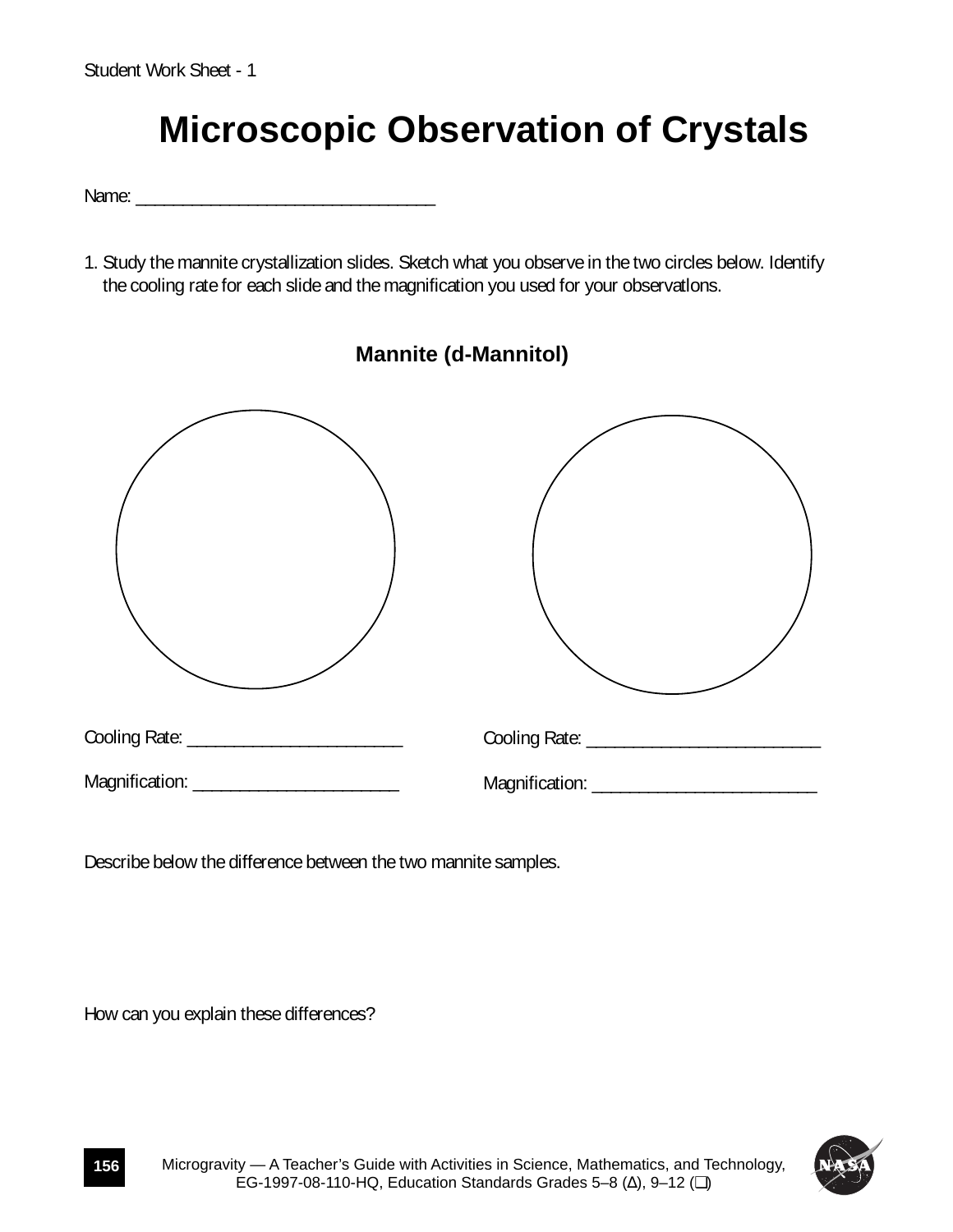## **Microscopic Observation of Crystals**

Name:

1. Study the mannite crystallization slides. Sketch what you observe in the two circles below. Identify the cooling rate for each slide and the magnification you used for your observatlons.



Describe below the difference between the two mannite samples.

How can you explain these differences?

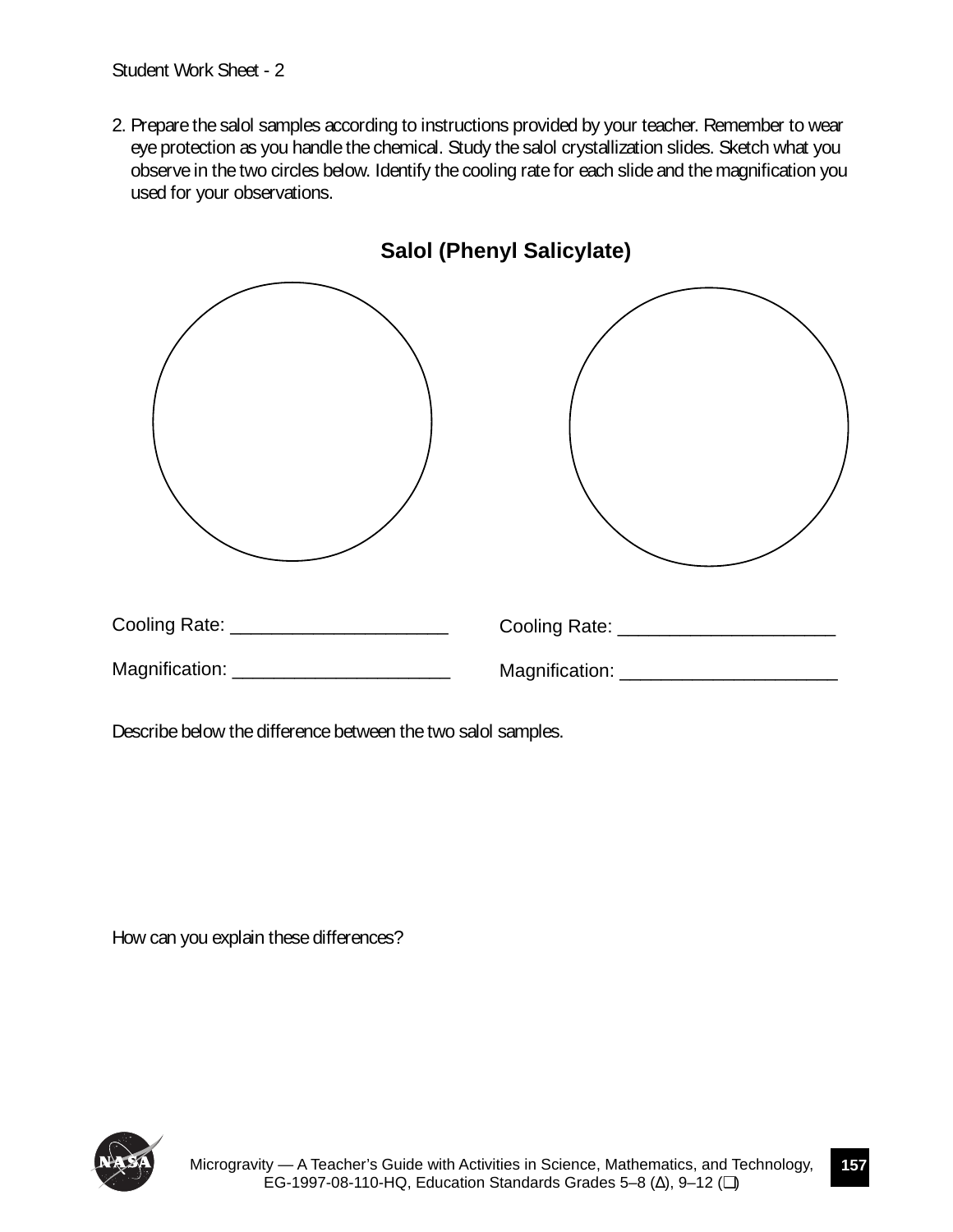Student Work Sheet - 2

2. Prepare the salol samples according to instructions provided by your teacher. Remember to wear eye protection as you handle the chemical. Study the salol crystallization slides. Sketch what you observe in the two circles below. Identify the cooling rate for each slide and the magnification you used for your observations.



Describe below the difference between the two salol samples.

How can you explain these differences?